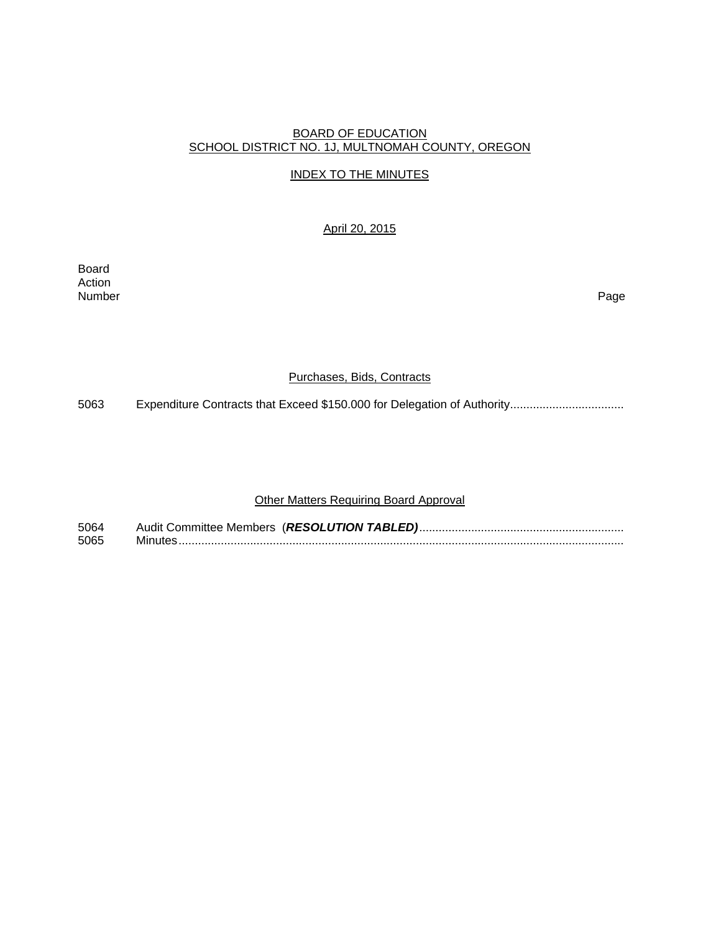### BOARD OF EDUCATION SCHOOL DISTRICT NO. 1J, MULTNOMAH COUNTY, OREGON

## INDEX TO THE MINUTES

## April 20, 2015

Board Action<br>Number Number Page

#### Purchases, Bids, Contracts

5063 Expenditure Contracts that Exceed \$150.000 for Delegation of Authority..................................

# Other Matters Requiring Board Approval

| 5064 |  |
|------|--|
| 5065 |  |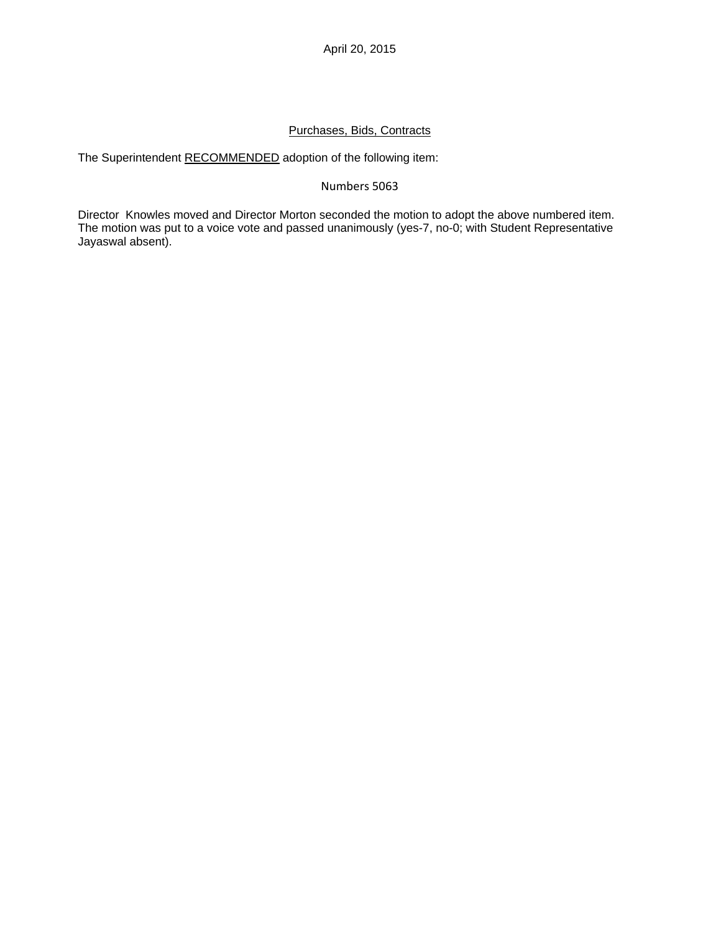#### Purchases, Bids, Contracts

The Superintendent RECOMMENDED adoption of the following item:

#### Numbers 5063

Director Knowles moved and Director Morton seconded the motion to adopt the above numbered item. The motion was put to a voice vote and passed unanimously (yes-7, no-0; with Student Representative Jayaswal absent).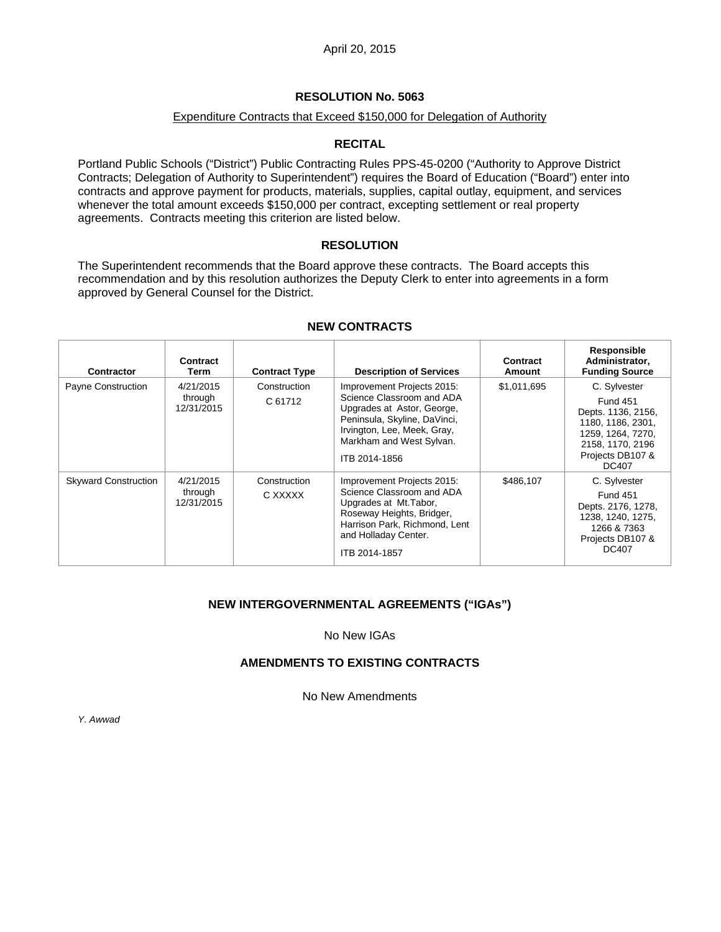## **RESOLUTION No. 5063**

### Expenditure Contracts that Exceed \$150,000 for Delegation of Authority

## **RECITAL**

Portland Public Schools ("District") Public Contracting Rules PPS-45-0200 ("Authority to Approve District Contracts; Delegation of Authority to Superintendent") requires the Board of Education ("Board") enter into contracts and approve payment for products, materials, supplies, capital outlay, equipment, and services whenever the total amount exceeds \$150,000 per contract, excepting settlement or real property agreements. Contracts meeting this criterion are listed below.

### **RESOLUTION**

The Superintendent recommends that the Board approve these contracts. The Board accepts this recommendation and by this resolution authorizes the Deputy Clerk to enter into agreements in a form approved by General Counsel for the District.

| Contractor                  | Contract<br>Term                   | <b>Contract Type</b>    | <b>Description of Services</b>                                                                                                                                                                    | Contract<br>Amount | Responsible<br>Administrator.<br><b>Funding Source</b>                                                                                                  |
|-----------------------------|------------------------------------|-------------------------|---------------------------------------------------------------------------------------------------------------------------------------------------------------------------------------------------|--------------------|---------------------------------------------------------------------------------------------------------------------------------------------------------|
| Payne Construction          | 4/21/2015<br>through<br>12/31/2015 | Construction<br>C 61712 | Improvement Projects 2015:<br>Science Classroom and ADA<br>Upgrades at Astor, George,<br>Peninsula, Skyline, DaVinci,<br>Irvington, Lee, Meek, Gray,<br>Markham and West Sylvan.<br>ITB 2014-1856 | \$1,011,695        | C. Sylvester<br><b>Fund 451</b><br>Depts. 1136, 2156,<br>1180, 1186, 2301,<br>1259, 1264, 7270,<br>2158, 1170, 2196<br>Projects DB107 &<br><b>DC407</b> |
| <b>Skyward Construction</b> | 4/21/2015<br>through<br>12/31/2015 | Construction<br>C XXXXX | Improvement Projects 2015:<br>Science Classroom and ADA<br>Upgrades at Mt. Tabor,<br>Roseway Heights, Bridger,<br>Harrison Park, Richmond, Lent<br>and Holladay Center.<br>ITB 2014-1857          | \$486,107          | C. Sylvester<br><b>Fund 451</b><br>Depts. 2176, 1278,<br>1238, 1240, 1275,<br>1266 & 7363<br>Projects DB107 &<br><b>DC407</b>                           |

### **NEW CONTRACTS**

### **NEW INTERGOVERNMENTAL AGREEMENTS ("IGAs")**

No New IGAs

### **AMENDMENTS TO EXISTING CONTRACTS**

No New Amendments

*Y. Awwad*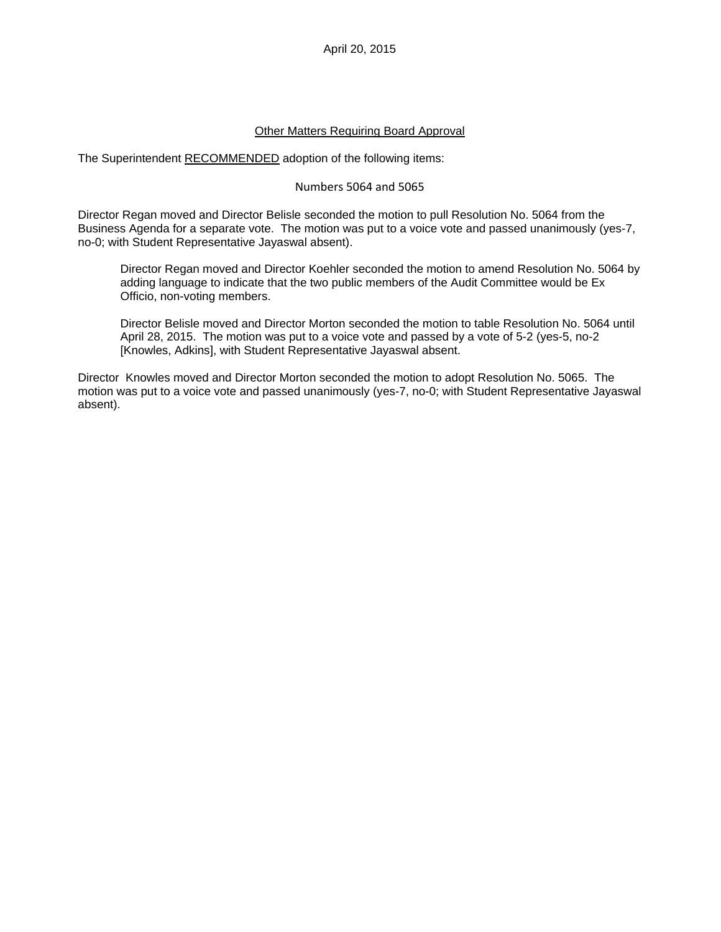April 20, 2015

#### Other Matters Requiring Board Approval

The Superintendent RECOMMENDED adoption of the following items:

#### Numbers 5064 and 5065

Director Regan moved and Director Belisle seconded the motion to pull Resolution No. 5064 from the Business Agenda for a separate vote. The motion was put to a voice vote and passed unanimously (yes-7, no-0; with Student Representative Jayaswal absent).

Director Regan moved and Director Koehler seconded the motion to amend Resolution No. 5064 by adding language to indicate that the two public members of the Audit Committee would be Ex Officio, non-voting members.

Director Belisle moved and Director Morton seconded the motion to table Resolution No. 5064 until April 28, 2015. The motion was put to a voice vote and passed by a vote of 5-2 (yes-5, no-2 [Knowles, Adkins], with Student Representative Jayaswal absent.

Director Knowles moved and Director Morton seconded the motion to adopt Resolution No. 5065. The motion was put to a voice vote and passed unanimously (yes-7, no-0; with Student Representative Jayaswal absent).